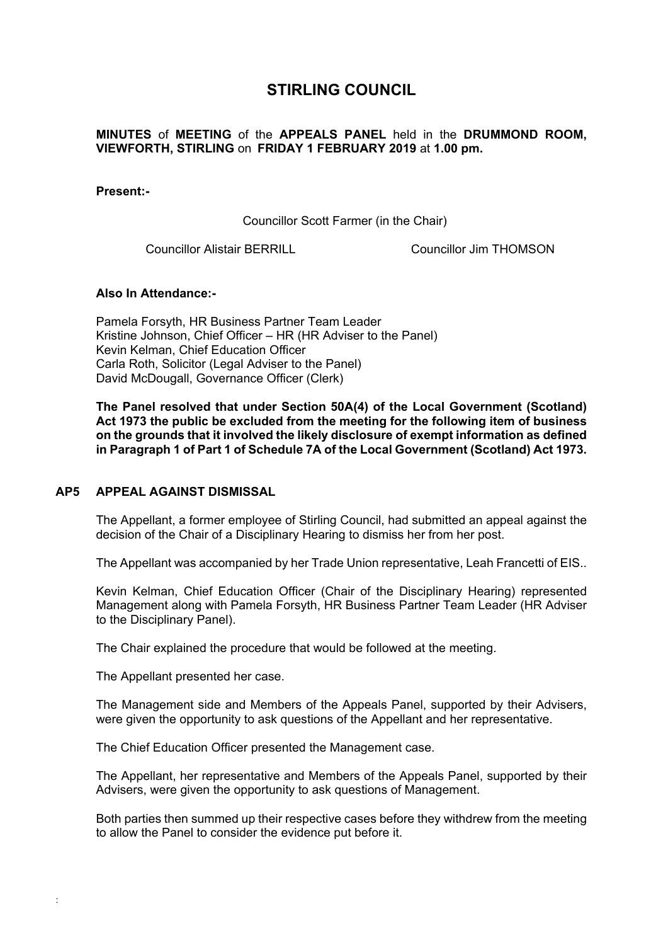# **STIRLING COUNCIL**

# **MINUTES** of **MEETING** of the **APPEALS PANEL** held in the **DRUMMOND ROOM, VIEWFORTH, STIRLING** on **FRIDAY 1 FEBRUARY 2019** at **1.00 pm.**

#### **Present:-**

Councillor Scott Farmer (in the Chair)

Councillor Alistair BERRILL Councillor Jim THOMSON

### **Also In Attendance:-**

Pamela Forsyth, HR Business Partner Team Leader Kristine Johnson, Chief Officer – HR (HR Adviser to the Panel) Kevin Kelman, Chief Education Officer Carla Roth, Solicitor (Legal Adviser to the Panel) David McDougall, Governance Officer (Clerk)

**The Panel resolved that under Section 50A(4) of the Local Government (Scotland) Act 1973 the public be excluded from the meeting for the following item of business on the grounds that it involved the likely disclosure of exempt information as defined in Paragraph 1 of Part 1 of Schedule 7A of the Local Government (Scotland) Act 1973.** 

#### **[AP5 APPEAL AGAINST DISMISSAL](/forms/request.htm)**

The Appellant, a former employee of Stirling Council, had submitted an appeal against the decision of the Chair of a Disciplinary Hearing to dismiss her from her post.

The Appellant was accompanied by her Trade Union representative, Leah Francetti of EIS..

Kevin Kelman, Chief Education Officer (Chair of the Disciplinary Hearing) represented Management along with Pamela Forsyth, HR Business Partner Team Leader (HR Adviser to the Disciplinary Panel).

The Chair explained the procedure that would be followed at the meeting.

The Appellant presented her case.

:

The Management side and Members of the Appeals Panel, supported by their Advisers, were given the opportunity to ask questions of the Appellant and her representative.

The Chief Education Officer presented the Management case.

The Appellant, her representative and Members of the Appeals Panel, supported by their Advisers, were given the opportunity to ask questions of Management.

Both parties then summed up their respective cases before they withdrew from the meeting to allow the Panel to consider the evidence put before it.